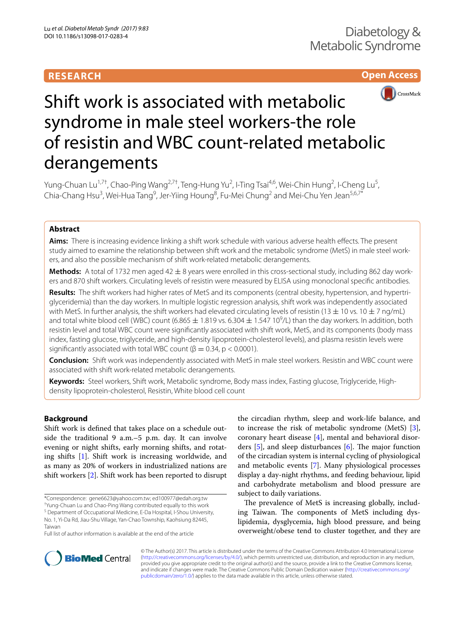# **RESEARCH**





# Shift work is associated with metabolic syndrome in male steel workers-the role of resistin and WBC count-related metabolic derangements

Yung-Chuan Lu<sup>1,7†</sup>, Chao-Ping Wang<sup>2,7†</sup>, Teng-Hung Yu<sup>2</sup>, I-Ting Tsai<sup>4,6</sup>, Wei-Chin Hung<sup>2</sup>, I-Cheng Lu<sup>5</sup>, Chia-Chang Hsu<sup>3</sup>, Wei-Hua Tang<sup>9</sup>, Jer-Yiing Houng<sup>8</sup>, Fu-Mei Chung<sup>2</sup> and Mei-Chu Yen Jean<sup>5,6,7\*</sup>

## **Abstract**

**Aims:** There is increasing evidence linking a shift work schedule with various adverse health efects. The present study aimed to examine the relationship between shift work and the metabolic syndrome (MetS) in male steel work‑ ers, and also the possible mechanism of shift work-related metabolic derangements.

**Methods:** A total of 1732 men aged 42 ± 8 years were enrolled in this cross-sectional study, including 862 day workers and 870 shift workers. Circulating levels of resistin were measured by ELISA using monoclonal specifc antibodies.

**Results:** The shift workers had higher rates of MetS and its components (central obesity, hypertension, and hypertri‑ glyceridemia) than the day workers. In multiple logistic regression analysis, shift work was independently associated with MetS. In further analysis, the shift workers had elevated circulating levels of resistin (13  $\pm$  10 vs. 10  $\pm$  7 ng/mL) and total white blood cell (WBC) count (6.865  $\pm$  1.819 vs. 6.304  $\pm$  1.547 10<sup>9</sup>/L) than the day workers. In addition, both resistin level and total WBC count were signifcantly associated with shift work, MetS, and its components (body mass index, fasting glucose, triglyceride, and high-density lipoprotein-cholesterol levels), and plasma resistin levels were significantly associated with total WBC count ( $\beta = 0.34$ , p < 0.0001).

**Conclusion:** Shift work was independently associated with MetS in male steel workers. Resistin and WBC count were associated with shift work-related metabolic derangements.

**Keywords:** Steel workers, Shift work, Metabolic syndrome, Body mass index, Fasting glucose, Triglyceride, Highdensity lipoprotein-cholesterol, Resistin, White blood cell count

## **Background**

Shift work is defned that takes place on a schedule outside the traditional 9 a.m.–5 p.m. day. It can involve evening or night shifts, early morning shifts, and rotating shifts [[1\]](#page-5-0). Shift work is increasing worldwide, and as many as 20% of workers in industrialized nations are shift workers [[2](#page-5-1)]. Shift work has been reported to disrupt

† Yung-Chuan Lu and Chao-Ping Wang contributed equally to this work <sup>5</sup> Department of Occupational Medicine, E-Da Hospital, I-Shou University, the circadian rhythm, sleep and work-life balance, and to increase the risk of metabolic syndrome (MetS) [\[3](#page-5-2)], coronary heart disease [\[4](#page-5-3)], mental and behavioral disorders  $[5]$  $[5]$ , and sleep disturbances  $[6]$  $[6]$ . The major function of the circadian system is internal cycling of physiological and metabolic events [\[7\]](#page-5-6). Many physiological processes display a day-night rhythms, and feeding behaviour, lipid and carbohydrate metabolism and blood pressure are subject to daily variations.

The prevalence of MetS is increasing globally, including Taiwan. The components of MetS including dyslipidemia, dysglycemia, high blood pressure, and being overweight/obese tend to cluster together, and they are



© The Author(s) 2017. This article is distributed under the terms of the Creative Commons Attribution 4.0 International License [\(http://creativecommons.org/licenses/by/4.0/\)](http://creativecommons.org/licenses/by/4.0/), which permits unrestricted use, distribution, and reproduction in any medium, provided you give appropriate credit to the original author(s) and the source, provide a link to the Creative Commons license, and indicate if changes were made. The Creative Commons Public Domain Dedication waiver ([http://creativecommons.org/](http://creativecommons.org/publicdomain/zero/1.0/) [publicdomain/zero/1.0/](http://creativecommons.org/publicdomain/zero/1.0/)) applies to the data made available in this article, unless otherwise stated.

<sup>\*</sup>Correspondence: gene6623@yahoo.com.tw; ed100977@edah.org.tw

No. 1, Yi‑Da Rd, Jiau‑Shu Village, Yan‑Chao Township, Kaohsiung 82445, Taiwan

Full list of author information is available at the end of the article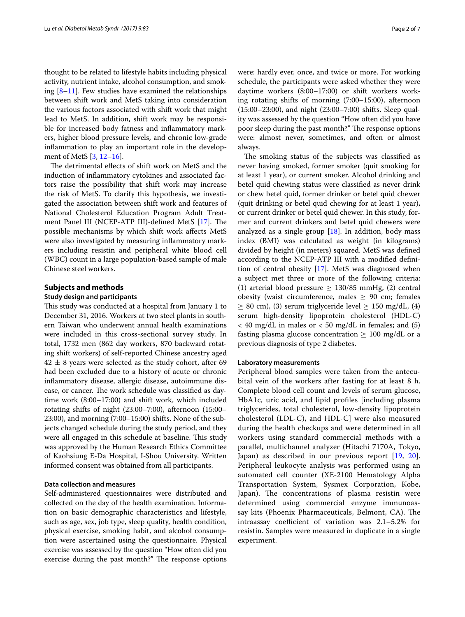thought to be related to lifestyle habits including physical activity, nutrient intake, alcohol consumption, and smoking  $[8-11]$  $[8-11]$ . Few studies have examined the relationships between shift work and MetS taking into consideration the various factors associated with shift work that might lead to MetS. In addition, shift work may be responsible for increased body fatness and infammatory markers, higher blood pressure levels, and chronic low-grade infammation to play an important role in the development of MetS [\[3,](#page-5-2) [12](#page-5-9)[–16](#page-5-10)].

The detrimental effects of shift work on MetS and the induction of infammatory cytokines and associated factors raise the possibility that shift work may increase the risk of MetS. To clarify this hypothesis, we investigated the association between shift work and features of National Cholesterol Education Program Adult Treat-ment Panel III (NCEP-ATP III)-defined MetS [\[17\]](#page-5-11). The possible mechanisms by which shift work afects MetS were also investigated by measuring infammatory markers including resistin and peripheral white blood cell (WBC) count in a large population-based sample of male Chinese steel workers.

#### **Subjects and methods**

#### **Study design and participants**

This study was conducted at a hospital from January 1 to December 31, 2016. Workers at two steel plants in southern Taiwan who underwent annual health examinations were included in this cross-sectional survey study. In total, 1732 men (862 day workers, 870 backward rotating shift workers) of self-reported Chinese ancestry aged  $42 \pm 8$  years were selected as the study cohort, after 69 had been excluded due to a history of acute or chronic infammatory disease, allergic disease, autoimmune disease, or cancer. The work schedule was classified as daytime work (8:00–17:00) and shift work, which included rotating shifts of night (23:00–7:00), afternoon (15:00– 23:00), and morning (7:00–15:00) shifts. None of the subjects changed schedule during the study period, and they were all engaged in this schedule at baseline. This study was approved by the Human Research Ethics Committee of Kaohsiung E-Da Hospital, I-Shou University. Written informed consent was obtained from all participants.

## **Data collection and measures**

Self-administered questionnaires were distributed and collected on the day of the health examination. Information on basic demographic characteristics and lifestyle, such as age, sex, job type, sleep quality, health condition, physical exercise, smoking habit, and alcohol consumption were ascertained using the questionnaire. Physical exercise was assessed by the question "How often did you exercise during the past month?" The response options were: hardly ever, once, and twice or more. For working schedule, the participants were asked whether they were daytime workers (8:00–17:00) or shift workers working rotating shifts of morning (7:00–15:00), afternoon (15:00–23:00), and night (23:00–7:00) shifts. Sleep quality was assessed by the question "How often did you have poor sleep during the past month?" The response options were: almost never, sometimes, and often or almost always.

The smoking status of the subjects was classified as never having smoked, former smoker (quit smoking for at least 1 year), or current smoker. Alcohol drinking and betel quid chewing status were classifed as never drink or chew betel quid, former drinker or betel quid chewer (quit drinking or betel quid chewing for at least 1 year), or current drinker or betel quid chewer. In this study, former and current drinkers and betel quid chewers were analyzed as a single group  $[18]$  $[18]$ . In addition, body mass index (BMI) was calculated as weight (in kilograms) divided by height (in meters) squared. MetS was defned according to the NCEP-ATP III with a modifed defnition of central obesity [[17\]](#page-5-11). MetS was diagnosed when a subject met three or more of the following criteria: (1) arterial blood pressure  $\geq$  130/85 mmHg, (2) central obesity (waist circumference, males  $\geq$  90 cm; females  $\geq$  80 cm), (3) serum triglyceride level  $\geq$  150 mg/dL, (4) serum high-density lipoprotein cholesterol (HDL-C)  $<$  40 mg/dL in males or  $<$  50 mg/dL in females; and (5) fasting plasma glucose concentration  $\geq 100$  mg/dL or a previous diagnosis of type 2 diabetes.

#### **Laboratory measurements**

Peripheral blood samples were taken from the antecubital vein of the workers after fasting for at least 8 h. Complete blood cell count and levels of serum glucose, HbA1c, uric acid, and lipid profles [including plasma triglycerides, total cholesterol, low-density lipoprotein cholesterol (LDL-C), and HDL-C] were also measured during the health checkups and were determined in all workers using standard commercial methods with a parallel, multichannel analyzer (Hitachi 7170A, Tokyo, Japan) as described in our previous report [\[19](#page-5-13), [20](#page-5-14)]. Peripheral leukocyte analysis was performed using an automated cell counter (XE-2100 Hematology Alpha Transportation System, Sysmex Corporation, Kobe, Japan). The concentrations of plasma resistin were determined using commercial enzyme immunoassay kits (Phoenix Pharmaceuticals, Belmont, CA). The intraassay coefficient of variation was  $2.1 - 5.2\%$  for resistin. Samples were measured in duplicate in a single experiment.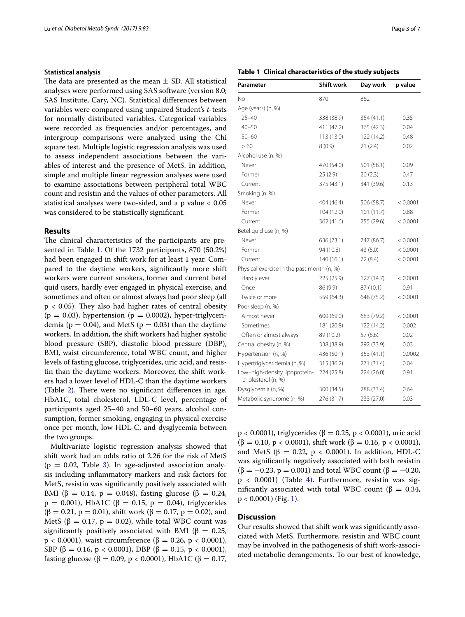### **Statistical analysis**

The data are presented as the mean  $\pm$  SD. All statistical analyses were performed using SAS software (version 8.0; SAS Institute, Cary, NC). Statistical diferences between variables were compared using unpaired Student's *t*-tests for normally distributed variables. Categorical variables were recorded as frequencies and/or percentages, and intergroup comparisons were analyzed using the Chi square test. Multiple logistic regression analysis was used to assess independent associations between the variables of interest and the presence of MetS. In addition, simple and multiple linear regression analyses were used to examine associations between peripheral total WBC count and resistin and the values of other parameters. All statistical analyses were two-sided, and a p value < 0.05 was considered to be statistically signifcant.

#### **Results**

The clinical characteristics of the participants are presented in Table [1.](#page-2-0) Of the 1732 participants, 870 (50.2%) had been engaged in shift work for at least 1 year. Compared to the daytime workers, signifcantly more shift workers were current smokers, former and current betel quid users, hardly ever engaged in physical exercise, and sometimes and often or almost always had poor sleep (all  $p < 0.05$ ). They also had higher rates of central obesity  $(p = 0.03)$ , hypertension  $(p = 0.0002)$ , hyper-triglyceridemia ( $p = 0.04$ ), and MetS ( $p = 0.03$ ) than the daytime workers. In addition, the shift workers had higher systolic blood pressure (SBP), diastolic blood pressure (DBP), BMI, waist circumference, total WBC count, and higher levels of fasting glucose, triglycerides, uric acid, and resistin than the daytime workers. Moreover, the shift workers had a lower level of HDL-C than the daytime workers (Table  $2$ ). There were no significant differences in age, HbA1C, total cholesterol, LDL-C level, percentage of participants aged 25–40 and 50–60 years, alcohol consumption, former smoking, engaging in physical exercise once per month, low HDL-C, and dysglycemia between the two groups.

Multivariate logistic regression analysis showed that shift work had an odds ratio of 2.26 for the risk of MetS  $(p = 0.02,$  Table [3\)](#page-3-1). In age-adjusted association analysis including infammatory markers and risk factors for MetS, resistin was signifcantly positively associated with BMI (β = 0.14, p = 0.048), fasting glucose (β = 0.24,  $p = 0.001$ ), HbA1C ( $\beta = 0.15$ ,  $p = 0.04$ ), triglycerides  $(\beta = 0.21, p = 0.01)$ , shift work  $(\beta = 0.17, p = 0.02)$ , and MetS ( $\beta = 0.17$ ,  $p = 0.02$ ), while total WBC count was significantly positively associated with BMI ( $\beta = 0.25$ ,  $p$  < 0.0001), waist circumference (β = 0.26, p < 0.0001), SBP ( $\beta = 0.16$ ,  $p < 0.0001$ ), DBP ( $\beta = 0.15$ ,  $p < 0.0001$ ), fasting glucose (β = 0.09, p < 0.0001), HbA1C (β = 0.17,

### <span id="page-2-0"></span>**Table 1 Clinical characteristics of the study subjects**

| Parameter                                           | <b>Shift work</b> | Day work   | p value  |
|-----------------------------------------------------|-------------------|------------|----------|
| No                                                  | 870               | 862        |          |
| Age (years) (n, %)                                  |                   |            |          |
| $25 - 40$                                           | 338 (38.9)        | 354 (41.1) | 0.35     |
| $40 - 50$                                           | 411 (47.2)        | 365 (42.3) | 0.04     |
| $50 - 60$                                           | 113 (13.0)        | 122 (14.2) | 0.48     |
| >60                                                 | 8(0.9)            | 21(2.4)    | 0.02     |
| Alcohol use (n, %)                                  |                   |            |          |
| Never                                               | 470 (54.0)        | 501 (58.1) | 0.09     |
| Former                                              | 25(2.9)           | 20(2.3)    | 0.47     |
| Current                                             | 375 (43.1)        | 341 (39.6) | 0.13     |
| Smoking (n, %)                                      |                   |            |          |
| Never                                               | 404 (46.4)        | 506 (58.7) | < 0.0001 |
| Former                                              | 104 (12.0)        | 101(11.7)  | 0.88     |
| Current                                             | 362 (41.6)        | 255 (29.6) | < 0.0001 |
| Betel quid use (n, %)                               |                   |            |          |
| Never                                               | 636 (73.1)        | 747 (86.7) | < 0.0001 |
| Former                                              | 94 (10.8)         | 43 (5.0)   | < 0.0001 |
| Current                                             | 140 (16.1)        | 72 (8.4)   | < 0.0001 |
| Physical exercise in the past month (n, %)          |                   |            |          |
| Hardly ever                                         | 225 (25.9)        | 127 (14.7) | < 0.0001 |
| Once                                                | 86 (9.9)          | 87 (10.1)  | 0.91     |
| Twice or more                                       | 559 (64.3)        | 648 (75.2) | < 0.0001 |
| Poor sleep (n, %)                                   |                   |            |          |
| Almost never                                        | 600 (69.0)        | 683 (79.2) | < 0.0001 |
| Sometimes                                           | 181 (20.8)        | 122 (14.2) | 0.002    |
| Often or almost always                              | 89 (10.2)         | 57 (6.6)   | 0.02     |
| Central obesity (n, %)                              | 338 (38.9)        | 292 (33.9) | 0.03     |
| Hypertension (n, %)                                 | 436 (50.1)        | 353 (41.1) | 0.0002   |
| Hypertriglyceridemia (n, %)                         | 315 (36.2)        | 271 (31.4) | 0.04     |
| Low-high-density lipoprotein-<br>cholesterol (n, %) | 224 (25.8)        | 224 (26.0) | 0.91     |
| Dysglycemia (n, %)                                  | 300 (34.5)        | 288 (33.4) | 0.64     |
| Metabolic syndrome (n, %)                           | 276 (31.7)        | 233 (27.0) | 0.03     |

 $p$  < 0.0001), triglycerides (β = 0.25, p < 0.0001), uric acid  $(\beta = 0.10, p < 0.0001)$ , shift work  $(\beta = 0.16, p < 0.0001)$ , and MetS ( $\beta = 0.22$ ,  $p < 0.0001$ ). In addition, HDL-C was signifcantly negatively associated with both resistin  $(\beta = -0.23, p = 0.001)$  and total WBC count ( $\beta = -0.20$ ,  $p < 0.0001$ ) (Table [4](#page-4-0)). Furthermore, resistin was significantly associated with total WBC count (β =  $0.34$ ,  $p < 0.0001$ ) (Fig. [1\)](#page-4-1).

## **Discussion**

Our results showed that shift work was signifcantly associated with MetS. Furthermore, resistin and WBC count may be involved in the pathogenesis of shift work-associated metabolic derangements. To our best of knowledge,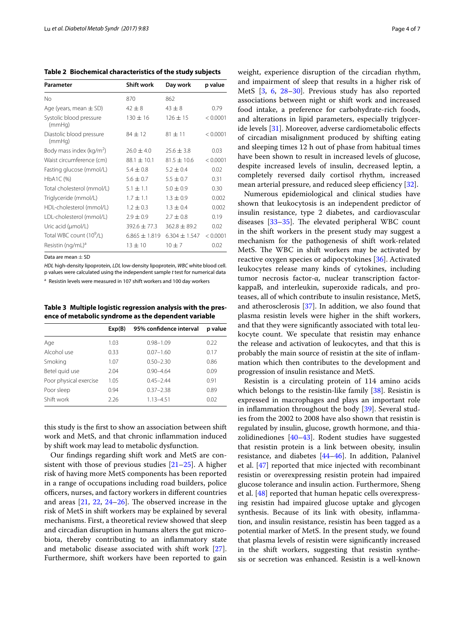<span id="page-3-0"></span>**Table 2 Biochemical characteristics of the study subjects**

| Parameter                            | <b>Shift work</b> | Day work          | p value  |
|--------------------------------------|-------------------|-------------------|----------|
| No                                   | 870               | 862               |          |
| Age (years, mean $\pm$ SD)           | $42 + 8$          | $43 + 8$          | 0.79     |
| Systolic blood pressure<br>(mmHq)    | $130 \pm 16$      | $126 \pm 15$      | < 0.0001 |
| Diastolic blood pressure<br>(mmHq)   | $84 + 12$         | $81 + 11$         | < 0.0001 |
| Body mass index ( $kg/m2$ )          | $26.0 \pm 4.0$    | $25.6 \pm 3.8$    | 0.03     |
| Waist circumference (cm)             | $88.1 \pm 10.1$   | $81.5 \pm 10.6$   | < 0.0001 |
| Fasting glucose (mmol/L)             | $5.4 \pm 0.8$     | $5.2 + 0.4$       | 0.02     |
| HbA1C (%)                            | $5.6 \pm 0.7$     | $5.5 \pm 0.7$     | 0.31     |
| Total cholesterol (mmol/L)           | $5.1 \pm 1.1$     | $5.0 \pm 0.9$     | 0.30     |
| Triglyceride (mmol/L)                | $1.7 \pm 1.1$     | $1.3 \pm 0.9$     | 0.002    |
| HDL-cholesterol (mmol/L)             | $1.2 \pm 0.3$     | $1.3 \pm 0.4$     | 0.002    |
| LDL-cholesterol (mmol/L)             | $2.9 \pm 0.9$     | $2.7 \pm 0.8$     | 0.19     |
| Uric acid $(\mu \text{mol/L})$       | $392.6 + 77.3$    | $362.8 + 89.2$    | 0.02     |
| Total WBC count (10 <sup>9</sup> /L) | $6.865 \pm 1.819$ | $6.304 \pm 1.547$ | < 0.0001 |
| Resistin (ng/mL) <sup>a</sup>        | $13 \pm 10$       | $10 + 7$          | 0.02     |

Data are mean  $\pm$  SD

*HDL* high-density lipoprotein, *LDL* low-density lipoprotein, *WBC* white blood cell. p values were calculated using the independent sample *t* test for numerical data

<sup>a</sup> Resistin levels were measured in 107 shift workers and 100 day workers

<span id="page-3-1"></span>**Table 3 Multiple logistic regression analysis with the presence of metabolic syndrome as the dependent variable**

|                        | Exp(B) | 95% confidence interval | p value |
|------------------------|--------|-------------------------|---------|
| Age                    | 1.03   | $0.98 - 1.09$           | 0.22    |
| Alcohol use            | 0.33   | $0.07 - 1.60$           | 0.17    |
| Smoking                | 1.07   | $0.50 - 2.30$           | 0.86    |
| Betel quid use         | 2.04   | $0.90 - 4.64$           | 0.09    |
| Poor physical exercise | 1.05   | $0.45 - 2.44$           | 0.91    |
| Poor sleep             | 0.94   | $0.37 - 2.38$           | 0.89    |
| Shift work             | 2.26   | $1.13 - 4.51$           | 0.02    |

this study is the frst to show an association between shift work and MetS, and that chronic infammation induced by shift work may lead to metabolic dysfunction.

Our fndings regarding shift work and MetS are consistent with those of previous studies  $[21-25]$  $[21-25]$ . A higher risk of having more MetS components has been reported in a range of occupations including road builders, police officers, nurses, and factory workers in different countries and areas  $[21, 22, 24–26]$  $[21, 22, 24–26]$  $[21, 22, 24–26]$  $[21, 22, 24–26]$  $[21, 22, 24–26]$  $[21, 22, 24–26]$  $[21, 22, 24–26]$ . The observed increase in the risk of MetS in shift workers may be explained by several mechanisms. First, a theoretical review showed that sleep and circadian disruption in humans alters the gut microbiota, thereby contributing to an infammatory state and metabolic disease associated with shift work [\[27](#page-6-2)]. Furthermore, shift workers have been reported to gain weight, experience disruption of the circadian rhythm, and impairment of sleep that results in a higher risk of MetS [[3,](#page-5-2) [6,](#page-5-5) [28](#page-6-3)–[30\]](#page-6-4). Previous study has also reported associations between night or shift work and increased food intake, a preference for carbohydrate-rich foods, and alterations in lipid parameters, especially triglyceride levels [[31\]](#page-6-5). Moreover, adverse cardiometabolic efects of circadian misalignment produced by shifting eating and sleeping times 12 h out of phase from habitual times have been shown to result in increased levels of glucose, despite increased levels of insulin, decreased leptin, a completely reversed daily cortisol rhythm, increased mean arterial pressure, and reduced sleep efficiency  $[32]$  $[32]$ .

Numerous epidemiological and clinical studies have shown that leukocytosis is an independent predictor of insulin resistance, type 2 diabetes, and cardiovascular diseases  $[33-35]$  $[33-35]$  $[33-35]$ . The elevated peripheral WBC count in the shift workers in the present study may suggest a mechanism for the pathogenesis of shift work-related MetS. The WBC in shift workers may be activated by reactive oxygen species or adipocytokines [[36](#page-6-9)]. Activated leukocytes release many kinds of cytokines, including tumor necrosis factor-α, nuclear transcription factorkappaB, and interleukin, superoxide radicals, and proteases, all of which contribute to insulin resistance, MetS, and atherosclerosis [[37](#page-6-10)]. In addition, we also found that plasma resistin levels were higher in the shift workers, and that they were signifcantly associated with total leukocyte count. We speculate that resistin may enhance the release and activation of leukocytes, and that this is probably the main source of resistin at the site of infammation which then contributes to the development and progression of insulin resistance and MetS.

Resistin is a circulating protein of 114 amino acids which belongs to the resistin-like family [\[38](#page-6-11)]. Resistin is expressed in macrophages and plays an important role in infammation throughout the body [\[39](#page-6-12)]. Several studies from the 2002 to 2008 have also shown that resistin is regulated by insulin, glucose, growth hormone, and thiazolidinediones [\[40–](#page-6-13)[43\]](#page-6-14). Rodent studies have suggested that resistin protein is a link between obesity, insulin resistance, and diabetes [[44–](#page-6-15)[46](#page-6-16)]. In addition, Palanivel et al. [\[47](#page-6-17)] reported that mice injected with recombinant resistin or overexpressing resistin protein had impaired glucose tolerance and insulin action. Furthermore, Sheng et al. [\[48\]](#page-6-18) reported that human hepatic cells overexpressing resistin had impaired glucose uptake and glycogen synthesis. Because of its link with obesity, infammation, and insulin resistance, resistin has been tagged as a potential marker of MetS. In the present study, we found that plasma levels of resistin were signifcantly increased in the shift workers, suggesting that resistin synthesis or secretion was enhanced. Resistin is a well-known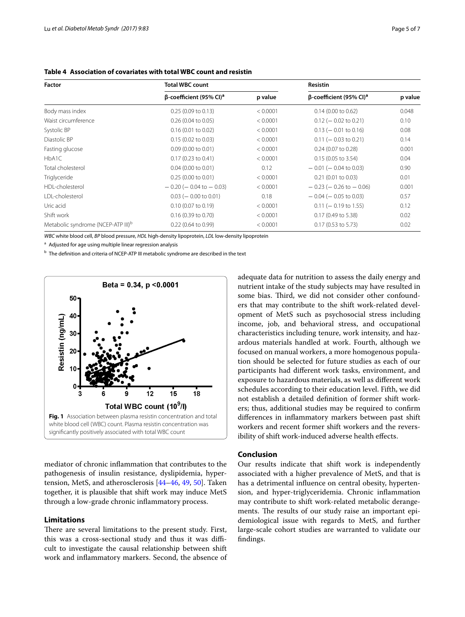| Factor                                         | <b>Total WBC count</b>                     |          |                                            | <b>Resistin</b> |  |
|------------------------------------------------|--------------------------------------------|----------|--------------------------------------------|-----------------|--|
|                                                | $\beta$ -coefficient (95% CI) <sup>a</sup> | p value  | $\beta$ -coefficient (95% CI) <sup>a</sup> | p value         |  |
| Body mass index                                | 0.25(0.09 to 0.13)                         | < 0.0001 | $0.14$ (0.00 to 0.62)                      | 0.048           |  |
| Waist circumference                            | $0.26$ (0.04 to 0.05)                      | < 0.0001 | $0.12$ (- 0.02 to 0.21)                    | 0.10            |  |
| Systolic BP                                    | $0.16$ (0.01 to 0.02)                      | < 0.0001 | $0.13$ (- 0.01 to 0.16)                    | 0.08            |  |
| Diastolic BP                                   | $0.15$ (0.02 to 0.03)                      | < 0.0001 | $0.11$ (- 0.03 to 0.21)                    | 0.14            |  |
| Fasting glucose                                | $0.09$ (0.00 to 0.01)                      | < 0.0001 | $0.24$ (0.07 to 0.28)                      | 0.001           |  |
| HbA1C                                          | $0.17$ (0.23 to 0.41)                      | < 0.0001 | $0.15$ (0.05 to 3.54)                      | 0.04            |  |
| Total cholesterol                              | $0.04$ (0.00 to 0.01)                      | 0.12     | $-0.01$ ( $-0.04$ to 0.03)                 | 0.90            |  |
| Triglyceride                                   | 0.25(0.00 to 0.01)                         | < 0.0001 | $0.21$ (0.01 to 0.03)                      | 0.01            |  |
| HDI-cholesterol                                | $-0.20$ ( $-0.04$ to $-0.03$ )             | < 0.0001 | $-0.23$ ( $-0.26$ to $-0.06$ )             | 0.001           |  |
| LDL-cholesterol                                | $0.03$ ( $-0.00$ to 0.01)                  | 0.18     | $-0.04$ ( $-0.05$ to 0.03)                 | 0.57            |  |
| Uric acid                                      | $0.10$ (0.07 to 0.19)                      | < 0.0001 | $0.11$ (- 0.19 to 1.55)                    | 0.12            |  |
| Shift work                                     | $0.16$ (0.39 to 0.70)                      | < 0.0001 | $0.17$ (0.49 to 5.38)                      | 0.02            |  |
| Metabolic syndrome (NCEP-ATP III) <sup>b</sup> | $0.22$ (0.64 to 0.99)                      | < 0.0001 | $0.17$ (0.53 to 5.73)                      | 0.02            |  |

<span id="page-4-0"></span>**Table 4 Association of covariates with total WBC count and resistin**

*WBC* white blood cell, *BP* blood pressure, *HDL* high-density lipoprotein, *LDL* low-density lipoprotein

a Adjusted for age using multiple linear regression analysis

b The definition and criteria of NCEP-ATP III metabolic syndrome are described in the text



<span id="page-4-1"></span>mediator of chronic infammation that contributes to the pathogenesis of insulin resistance, dyslipidemia, hypertension, MetS, and atherosclerosis [[44–](#page-6-15)[46](#page-6-16), [49](#page-6-19), [50\]](#page-6-20). Taken together, it is plausible that shift work may induce MetS through a low-grade chronic infammatory process.

#### **Limitations**

There are several limitations to the present study. First, this was a cross-sectional study and thus it was difficult to investigate the causal relationship between shift work and infammatory markers. Second, the absence of adequate data for nutrition to assess the daily energy and nutrient intake of the study subjects may have resulted in some bias. Third, we did not consider other confounders that may contribute to the shift work-related development of MetS such as psychosocial stress including income, job, and behavioral stress, and occupational characteristics including tenure, work intensity, and hazardous materials handled at work. Fourth, although we focused on manual workers, a more homogenous population should be selected for future studies as each of our participants had diferent work tasks, environment, and exposure to hazardous materials, as well as diferent work schedules according to their education level. Fifth, we did not establish a detailed defnition of former shift workers; thus, additional studies may be required to confrm diferences in infammatory markers between past shift workers and recent former shift workers and the reversibility of shift work-induced adverse health effects.

#### **Conclusion**

Our results indicate that shift work is independently associated with a higher prevalence of MetS, and that is has a detrimental infuence on central obesity, hypertension, and hyper-triglyceridemia. Chronic infammation may contribute to shift work-related metabolic derangements. The results of our study raise an important epidemiological issue with regards to MetS, and further large-scale cohort studies are warranted to validate our fndings.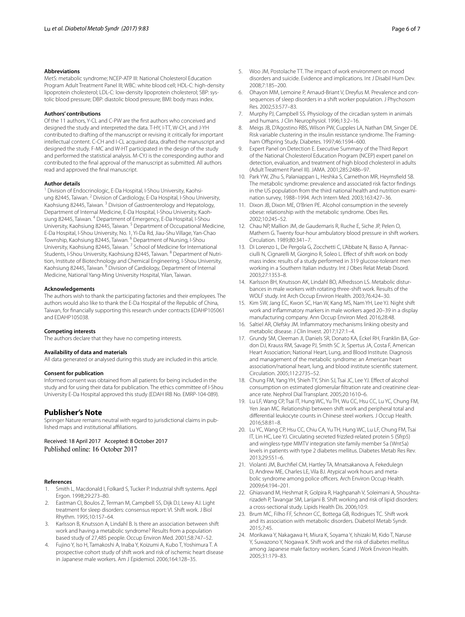#### **Abbreviations**

MetS: metabolic syndrome; NCEP-ATP III: National Cholesterol Education Program Adult Treatment Panel III; WBC: white blood cell; HDL-C: high-density lipoprotein cholesterol; LDL-C: low-density lipoprotein cholesterol; SBP: systolic blood pressure; DBP: diastolic blood pressure; BMI: body mass index.

#### **Authors' contributions**

Of the 11 authors, Y-CL and C-PW are the frst authors who conceived and designed the study and interpreted the data. T-HY, I-TT, W-CH, and J-YH contributed to drafting of the manuscript or revising it critically for important intellectual content. C-CH and I-CL acquired data, drafted the manuscript and designed the study. F-MC and W-HT participated in the design of the study and performed the statistical analysis. M-CYJ is the corresponding author and contributed to the fnal approval of the manuscript as submitted. All authors read and approved the fnal manuscript.

#### **Author details**

Division of Endocrinologic, E-Da Hospital, I-Shou University, Kaohsiung 82445, Taiwan. <sup>2</sup> Division of Cardiology, E-Da Hospital, I-Shou University, Kaohsiung 82445, Taiwan. 3 Division of Gastroenterology and Hepatology, Department of Internal Medicine, E-Da Hospital, I-Shou University, Kaohsiung 82445, Taiwan. 4 Department of Emergency, E-Da Hospital, I-Shou University, Kaohsiung 82445, Taiwan. 5 Department of Occupational Medicine, E-Da Hospital, I-Shou University, No. 1, Yi‑Da Rd, Jiau‑Shu Village, Yan‑Chao Township, Kaohsiung 82445, Taiwan. 6 Department of Nursing, I-Shou University, Kaohsiung 82445, Taiwan. 7 School of Medicine for International Students, I-Shou University, Kaohsiung 82445, Taiwan. <sup>8</sup> Department of Nutrition, Institute of Biotechnology and Chemical Engineering, I-Shou University, Kaohsiung 82445, Taiwan. 9 Division of Cardiology, Department of Internal Medicine, National Yang-Ming University Hospital, Yilan, Taiwan.

#### **Acknowledgements**

The authors wish to thank the participating factories and their employees. The authors would also like to thank the E-Da Hospital of the Republic of China, Taiwan, for fnancially supporting this research under contracts EDAHP105061 and EDAHP105038.

#### **Competing interests**

The authors declare that they have no competing interests.

#### **Availability of data and materials**

All data generated or analysed during this study are included in this article.

#### **Consent for publication**

Informed consent was obtained from all patients for being included in the study and for using their data for publication. The ethics committee of I-Shou University E-Da Hospital approved this study (EDAH IRB No. EMRP-104-089).

#### **Publisher's Note**

Springer Nature remains neutral with regard to jurisdictional claims in published maps and institutional affiliations.

Received: 18 April 2017 Accepted: 8 October 2017 Published online: 16 October 2017

#### **References**

- <span id="page-5-0"></span>1. Smith L, Macdonald I, Folkard S, Tucker P. Industrial shift systems. Appl Ergon. 1998;29:273–80.
- <span id="page-5-1"></span>2. Eastman CI, Boulos Z, Terman M, Campbell SS, Dijk DJ, Lewy AJ. Light treatment for sleep disorders: consensus report: VI. Shift work. J Biol Rhythm. 1995;10:157–64.
- <span id="page-5-2"></span>3. Karlsson B, Knutsson A, Lindahl B. Is there an association between shift work and having a metabolic syndrome? Results from a population based study of 27,485 people. Occup Environ Med. 2001;58:747–52.
- <span id="page-5-3"></span>4. Fujino Y, Iso H, Tamakoshi A, Inaba Y, Koizumi A, Kubo T, Yoshimura T. A prospective cohort study of shift work and risk of ischemic heart disease in Japanese male workers. Am J Epidemiol. 2006;164:128–35.
- <span id="page-5-4"></span>5. Woo JM, Postolache TT. The impact of work environment on mood disorders and suicide. Evidence and implications. Int J Disabil Hum Dev. 2008;7:185–200.
- <span id="page-5-5"></span>6. Ohayon MM, Lemoine P, Arnaud-Briant V, Dreyfus M. Prevalence and consequences of sleep disorders in a shift worker population. J Phychosom Res. 2002;53:577–83.
- <span id="page-5-6"></span>7. Murphy PJ, Campbell SS. Physiology of the circadian system in animals and humans. J Clin Neurophysiol. 1996;13:2–16.
- <span id="page-5-7"></span>8. Meigs JB, D'Agostino RBS, Wilson PW, Cupples LA, Nathan DM, Singer DE. Risk variable clustering in the insulin resistance syndrome. The Framingham Offspring Study. Diabetes. 1997;46:1594-600.
- 9. Expert Panel on Detection E. Executive Summary of the Third Report of the National Cholesterol Education Program (NCEP) expert panel on detection, evaluation, and treatment of high blood cholesterol in adults (Adult Treatment Panel III). JAMA. 2001;285:2486–97.
- 10. Park YW, Zhu S, Palaniappan L, Heshka S, Carnethon MR, Heymsfeld SB. The metabolic syndrome: prevalence and associated risk factor fndings in the US population from the third national health and nutrition examination survey, 1988–1994. Arch Intern Med. 2003;163:427–36.
- <span id="page-5-8"></span>11. Dixon JB, Dixon ME, O'Brien PE. Alcohol consumption in the severely obese: relationship with the metabolic syndrome. Obes Res. 2002;10:245–52.
- <span id="page-5-9"></span>12. Chau NP, Mallion JM, de Gaudemaris R, Ruche E, Siche JP, Pelen O, Mathern G. Twenty four-hour ambulatory blood pressure in shift workers. Circulation. 1989;80:341–7.
- 13. Di Lorenzo L, De Pergola G, Zocchetti C, L'Abbate N, Basso A, Pannacciulli N, Cignarelli M, Giorgino R, Soleo L. Efect of shift work on body mass index: results of a study performed in 319 glucose-tolerant men working in a Southern Italian industry. Int J Obes Relat Metab Disord. 2003;27:1353–8.
- 14. Karlsson BH, Knutsson AK, Lindahl BO, Alfredsson LS. Metabolic disturbances in male workers with rotating three-shift work. Results of the WOLF study. Int Arch Occup Environ Health. 2003;76:424–30.
- 15. Kim SW, Jang EC, Kwon SC, Han W, Kang MS, Nam YH, Lee YJ. Night shift work and infammatory markers in male workers aged 20–39 in a display manufacturing company. Ann Occup Environ Med. 2016;28:48.
- <span id="page-5-10"></span>16. Saltiel AR, Olefsky JM. Infammatory mechanisms linking obesity and metabolic disease. J Clin Invest. 2017;127:1–4.
- <span id="page-5-11"></span>17. Grundy SM, Cleeman JI, Daniels SR, Donato KA, Eckel RH, Franklin BA, Gordon DJ, Krauss RM, Savage PJ, Smith SC Jr, Spertus JA, Costa F, American Heart Association; National Heart, Lung, and Blood Institute. Diagnosis and management of the metabolic syndrome: an American heart association/national heart, lung, and blood institute scientifc statement. Circulation. 2005;112:2735–52.
- <span id="page-5-12"></span>18. Chung FM, Yang YH, Shieh TY, Shin SJ, Tsai JC, Lee YJ. Efect of alcohol consumption on estimated glomerular filtration rate and creatinine clearance rate. Nephrol Dial Transplant. 2005;20:1610–6.
- <span id="page-5-13"></span>19. Lu LF, Wang CP, Tsai IT, Hung WC, Yu TH, Wu CC, Hsu CC, Lu YC, Chung FM, Yen Jean MC. Relationship between shift work and peripheral total and diferential leukocyte counts in Chinese steel workers. J Occup Health. 2016;58:81–8.
- <span id="page-5-14"></span>20. Lu YC, Wang CP, Hsu CC, Chiu CA, Yu TH, Hung WC, Lu LF, Chung FM, Tsai IT, Lin HC, Lee YJ. Circulating secreted frizzled-related protein 5 (Sfrp5) and wingless-type MMTV integration site family member 5a (Wnt5a) levels in patients with type 2 diabetes mellitus. Diabetes Metab Res Rev. 2013;29:551–6.
- <span id="page-5-15"></span>21. Violanti JM, Burchfel CM, Hartley TA, Mnatsakanova A, Fekedulegn D, Andrew ME, Charles LE, Vila BJ. Atypical work hours and metabolic syndrome among police officers. Arch Environ Occup Health. 2009;64:194–201.
- <span id="page-5-16"></span>22. Ghiasvand M, Heshmat R, Golpira R, Haghpanah V, Soleimani A, Shoushtarizadeh P, Tavangar SM, Larijani B. Shift working and risk of lipid disorders: a cross-sectional study. Lipids Health Dis. 2006;10:9.
- 23. Brum MC, Filho FF, Schnorr CC, Bottega GB, Rodrigues TC. Shift work and its association with metabolic disorders. Diabetol Metab Syndr. 2015;7:45.
- <span id="page-5-17"></span>24. Morikawa Y, Nakagawa H, Miura K, Soyama Y, Ishizaki M, Kido T, Naruse Y, Suwazono Y, Nogawa K. Shift work and the risk of diabetes mellitus among Japanese male factory workers. Scand J Work Environ Health. 2005;31:179–83.